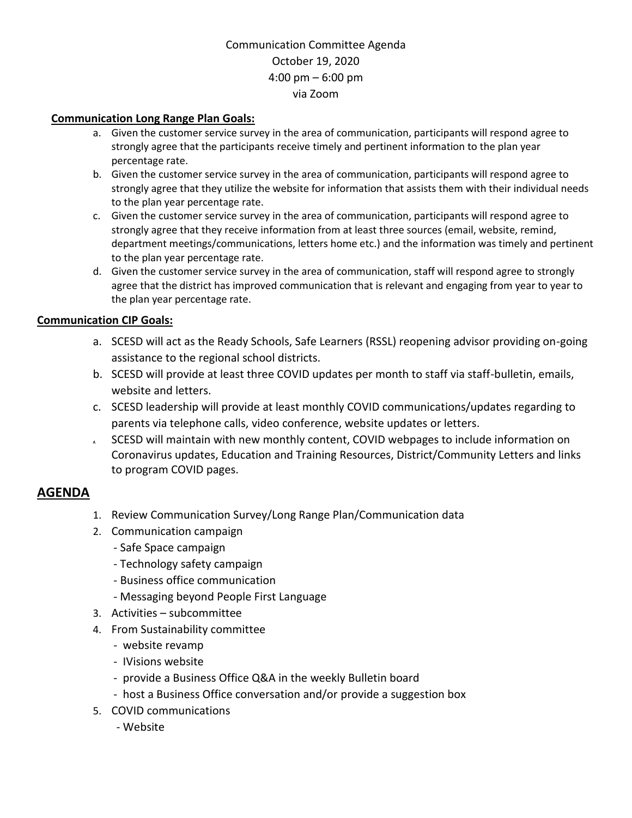## Communication Committee Agenda October 19, 2020 4:00 pm – 6:00 pm via Zoom

#### **Communication Long Range Plan Goals:**

- a. Given the customer service survey in the area of communication, participants will respond agree to strongly agree that the participants receive timely and pertinent information to the plan year percentage rate.
- b. Given the customer service survey in the area of communication, participants will respond agree to strongly agree that they utilize the website for information that assists them with their individual needs to the plan year percentage rate.
- c. Given the customer service survey in the area of communication, participants will respond agree to strongly agree that they receive information from at least three sources (email, website, remind, department meetings/communications, letters home etc.) and the information was timely and pertinent to the plan year percentage rate.
- d. Given the customer service survey in the area of communication, staff will respond agree to strongly agree that the district has improved communication that is relevant and engaging from year to year to the plan year percentage rate.

#### **Communication CIP Goals:**

- a. SCESD will act as the Ready Schools, Safe Learners (RSSL) reopening advisor providing on-going assistance to the regional school districts.
- b. SCESD will provide at least three COVID updates per month to staff via staff-bulletin, emails, website and letters.
- c. SCESD leadership will provide at least monthly COVID communications/updates regarding to parents via telephone calls, video conference, website updates or letters.
- **d.** SCESD will maintain with new monthly content, COVID webpages to include information on Coronavirus updates, Education and Training Resources, District/Community Letters and links to program COVID pages.

## **AGENDA**

- 1. Review Communication Survey/Long Range Plan/Communication data
- 2. Communication campaign
	- Safe Space campaign
	- Technology safety campaign
	- Business office communication
	- Messaging beyond People First Language
- 3. Activities subcommittee
- 4. From Sustainability committee
	- website revamp
	- IVisions website
	- provide a Business Office Q&A in the weekly Bulletin board
	- host a Business Office conversation and/or provide a suggestion box
- 5. COVID communications
	- Website